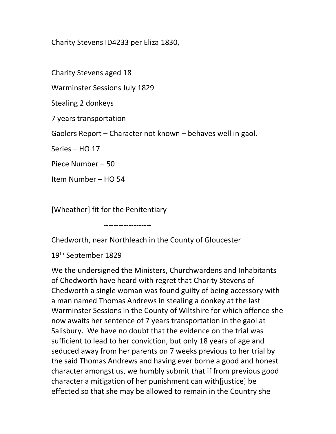Charity Stevens ID4233 per Eliza 1830,

Charity Stevens aged 18

Warminster Sessions July 1829

Stealing 2 donkeys

7 years transportation

Gaolers Report – Character not known – behaves well in gaol.

Series – HO 17

Piece Number – 50

Item Number – HO 54

---------------------------------------------------

[Wheather] fit for the Penitentiary

-------------------

Chedworth, near Northleach in the County of Gloucester

19th September 1829

We the undersigned the Ministers, Churchwardens and Inhabitants of Chedworth have heard with regret that Charity Stevens of Chedworth a single woman was found guilty of being accessory with a man named Thomas Andrews in stealing a donkey at the last Warminster Sessions in the County of Wiltshire for which offence she now awaits her sentence of 7 years transportation in the gaol at Salisbury. We have no doubt that the evidence on the trial was sufficient to lead to her conviction, but only 18 years of age and seduced away from her parents on 7 weeks previous to her trial by the said Thomas Andrews and having ever borne a good and honest character amongst us, we humbly submit that if from previous good character a mitigation of her punishment can with[justice] be effected so that she may be allowed to remain in the Country she